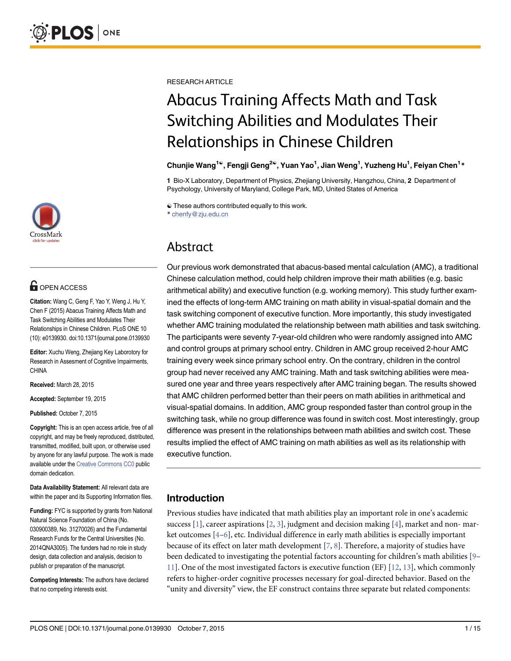

# **OPEN ACCESS**

Citation: Wang C, Geng F, Yao Y, Weng J, Hu Y, Chen F (2015) Abacus Training Affects Math and Task Switching Abilities and Modulates Their Relationships in Chinese Children. PLoS ONE 10 (10): e0139930. doi:10.1371/journal.pone.0139930

Editor: Xuchu Weng, Zhejiang Key Laborotory for Research in Assesment of Cognitive Impairments, CHINA

Received: March 28, 2015

Accepted: September 19, 2015

Published: October 7, 2015

Copyright: This is an open access article, free of all copyright, and may be freely reproduced, distributed, transmitted, modified, built upon, or otherwise used by anyone for any lawful purpose. The work is made available under the [Creative Commons CC0](https://creativecommons.org/publicdomain/zero/1.0/) public domain dedication.

Data Availability Statement: All relevant data are within the paper and its Supporting Information files.

Funding: FYC is supported by grants from National Natural Science Foundation of China (No. 030900389, No. 31270026) and the Fundamental Research Funds for the Central Universities (No. 2014QNA3005). The funders had no role in study design, data collection and analysis, decision to publish or preparation of the manuscript.

Competing Interests: The authors have declared that no competing interests exist.

<span id="page-0-0"></span>RESEARCH ARTICLE

# Abacus Training Affects Math and Task Switching Abilities and Modulates Their Relationships in Chinese Children

Chunjie Wang<sup>1©</sup>, Fengji Geng<sup>2©</sup>, Yuan Yao<sup>1</sup>, Jian Weng<sup>1</sup>, Yuzheng Hu<sup>1</sup>, Feiyan Chen<sup>1</sup>\*

1 Bio-X Laboratory, Department of Physics, Zhejiang University, Hangzhou, China, 2 Department of Psychology, University of Maryland, College Park, MD, United States of America

☯ These authors contributed equally to this work.

\* chenfy@zju.edu.cn

# Abstract

Our previous work demonstrated that abacus-based mental calculation (AMC), a traditional Chinese calculation method, could help children improve their math abilities (e.g. basic arithmetical ability) and executive function (e.g. working memory). This study further examined the effects of long-term AMC training on math ability in visual-spatial domain and the task switching component of executive function. More importantly, this study investigated whether AMC training modulated the relationship between math abilities and task switching. The participants were seventy 7-year-old children who were randomly assigned into AMC and control groups at primary school entry. Children in AMC group received 2-hour AMC training every week since primary school entry. On the contrary, children in the control group had never received any AMC training. Math and task switching abilities were measured one year and three years respectively after AMC training began. The results showed that AMC children performed better than their peers on math abilities in arithmetical and visual-spatial domains. In addition, AMC group responded faster than control group in the switching task, while no group difference was found in switch cost. Most interestingly, group difference was present in the relationships between math abilities and switch cost. These results implied the effect of AMC training on math abilities as well as its relationship with executive function.

# Introduction

Previous studies have indicated that math abilities play an important role in one's academic success [\[1](#page-11-0)], career aspirations [[2](#page-11-0), [3\]](#page-11-0), judgment and decision making [[4\]](#page-11-0), market and non- market outcomes  $[4-6]$  $[4-6]$  $[4-6]$  $[4-6]$ , etc. Individual difference in early math abilities is especially important because of its effect on later math development  $[2, 8]$  $[2, 8]$ . Therefore, a majority of studies have been dedicated to investigating the potential factors accounting for children's math abilities [[9](#page-11-0)–  $11$ ]. One of the most investigated factors is executive function (EF)  $[12, 13]$  $[12, 13]$  $[12, 13]$  $[12, 13]$  $[12, 13]$ , which commonly refers to higher-order cognitive processes necessary for goal-directed behavior. Based on the "unity and diversity" view, the EF construct contains three separate but related components: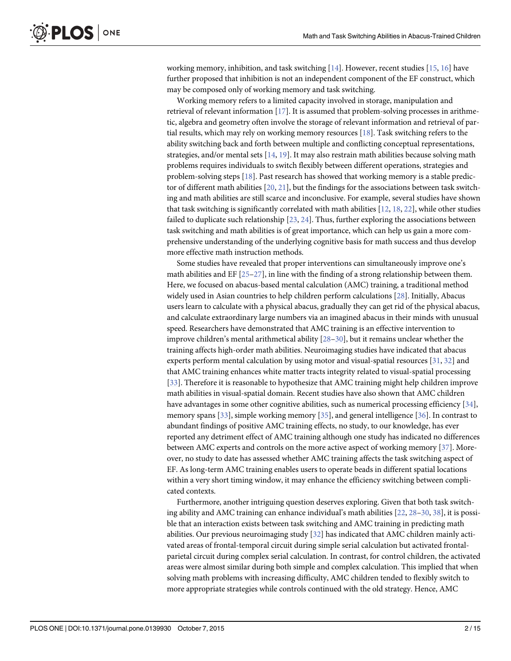<span id="page-1-0"></span>working memory, inhibition, and task switching  $[14]$ . However, recent studies  $[15, 16]$  $[15, 16]$  $[15, 16]$  have further proposed that inhibition is not an independent component of the EF construct, which may be composed only of working memory and task switching.

Working memory refers to a limited capacity involved in storage, manipulation and retrieval of relevant information [[17\]](#page-12-0). It is assumed that problem-solving processes in arithmetic, algebra and geometry often involve the storage of relevant information and retrieval of partial results, which may rely on working memory resources [\[18\]](#page-12-0). Task switching refers to the ability switching back and forth between multiple and conflicting conceptual representations, strategies, and/or mental sets  $[14, 19]$  $[14, 19]$  $[14, 19]$ . It may also restrain math abilities because solving math problems requires individuals to switch flexibly between different operations, strategies and problem-solving steps [\[18\]](#page-12-0). Past research has showed that working memory is a stable predictor of different math abilities  $[20, 21]$  $[20, 21]$  $[20, 21]$  $[20, 21]$  $[20, 21]$ , but the findings for the associations between task switching and math abilities are still scarce and inconclusive. For example, several studies have shown that task switching is significantly correlated with math abilities [\[12](#page-11-0), [18,](#page-12-0) [22\]](#page-12-0), while other studies failed to duplicate such relationship  $[23, 24]$  $[23, 24]$  $[23, 24]$  $[23, 24]$  $[23, 24]$ . Thus, further exploring the associations between task switching and math abilities is of great importance, which can help us gain a more comprehensive understanding of the underlying cognitive basis for math success and thus develop more effective math instruction methods.

Some studies have revealed that proper interventions can simultaneously improve one's math abilities and EF  $[25-27]$  $[25-27]$  $[25-27]$ , in line with the finding of a strong relationship between them. Here, we focused on abacus-based mental calculation (AMC) training, a traditional method widely used in Asian countries to help children perform calculations [\[28](#page-12-0)]. Initially, Abacus users learn to calculate with a physical abacus, gradually they can get rid of the physical abacus, and calculate extraordinary large numbers via an imagined abacus in their minds with unusual speed. Researchers have demonstrated that AMC training is an effective intervention to improve children's mental arithmetical ability  $[28–30]$  $[28–30]$  $[28–30]$  $[28–30]$ , but it remains unclear whether the training affects high-order math abilities. Neuroimaging studies have indicated that abacus experts perform mental calculation by using motor and visual-spatial resources [\[31,](#page-12-0) [32\]](#page-12-0) and that AMC training enhances white matter tracts integrity related to visual-spatial processing [\[33](#page-12-0)]. Therefore it is reasonable to hypothesize that AMC training might help children improve math abilities in visual-spatial domain. Recent studies have also shown that AMC children have advantages in some other cognitive abilities, such as numerical processing efficiency [[34](#page-12-0)], memory spans [[33](#page-12-0)], simple working memory [\[35\]](#page-12-0), and general intelligence [[36\]](#page-12-0). In contrast to abundant findings of positive AMC training effects, no study, to our knowledge, has ever reported any detriment effect of AMC training although one study has indicated no differences between AMC experts and controls on the more active aspect of working memory [\[37\]](#page-12-0). Moreover, no study to date has assessed whether AMC training affects the task switching aspect of EF. As long-term AMC training enables users to operate beads in different spatial locations within a very short timing window, it may enhance the efficiency switching between complicated contexts.

Furthermore, another intriguing question deserves exploring. Given that both task switching ability and AMC training can enhance individual's math abilities [\[22,](#page-12-0) [28](#page-12-0)–[30](#page-12-0), [38](#page-12-0)], it is possible that an interaction exists between task switching and AMC training in predicting math abilities. Our previous neuroimaging study [[32\]](#page-12-0) has indicated that AMC children mainly activated areas of frontal-temporal circuit during simple serial calculation but activated frontalparietal circuit during complex serial calculation. In contrast, for control children, the activated areas were almost similar during both simple and complex calculation. This implied that when solving math problems with increasing difficulty, AMC children tended to flexibly switch to more appropriate strategies while controls continued with the old strategy. Hence, AMC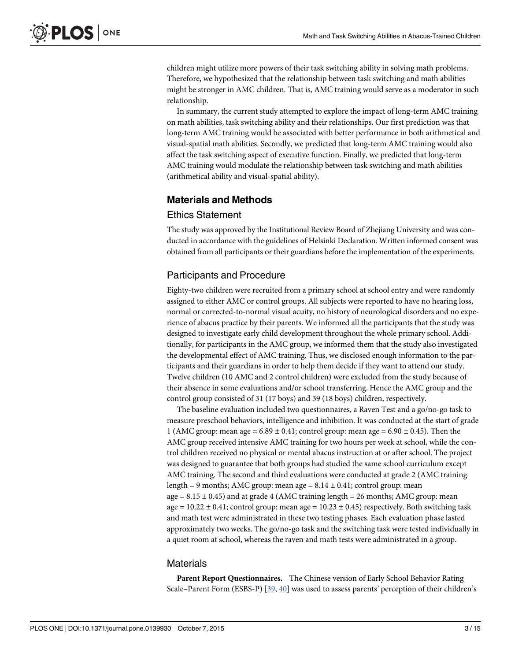<span id="page-2-0"></span>children might utilize more powers of their task switching ability in solving math problems. Therefore, we hypothesized that the relationship between task switching and math abilities might be stronger in AMC children. That is, AMC training would serve as a moderator in such relationship.

In summary, the current study attempted to explore the impact of long-term AMC training on math abilities, task switching ability and their relationships. Our first prediction was that long-term AMC training would be associated with better performance in both arithmetical and visual-spatial math abilities. Secondly, we predicted that long-term AMC training would also affect the task switching aspect of executive function. Finally, we predicted that long-term AMC training would modulate the relationship between task switching and math abilities (arithmetical ability and visual-spatial ability).

# Materials and Methods

#### Ethics Statement

The study was approved by the Institutional Review Board of Zhejiang University and was conducted in accordance with the guidelines of Helsinki Declaration. Written informed consent was obtained from all participants or their guardians before the implementation of the experiments.

# Participants and Procedure

Eighty-two children were recruited from a primary school at school entry and were randomly assigned to either AMC or control groups. All subjects were reported to have no hearing loss, normal or corrected-to-normal visual acuity, no history of neurological disorders and no experience of abacus practice by their parents. We informed all the participants that the study was designed to investigate early child development throughout the whole primary school. Additionally, for participants in the AMC group, we informed them that the study also investigated the developmental effect of AMC training. Thus, we disclosed enough information to the participants and their guardians in order to help them decide if they want to attend our study. Twelve children (10 AMC and 2 control children) were excluded from the study because of their absence in some evaluations and/or school transferring. Hence the AMC group and the control group consisted of 31 (17 boys) and 39 (18 boys) children, respectively.

The baseline evaluation included two questionnaires, a Raven Test and a go/no-go task to measure preschool behaviors, intelligence and inhibition. It was conducted at the start of grade 1 (AMC group: mean age =  $6.89 \pm 0.41$ ; control group: mean age =  $6.90 \pm 0.45$ ). Then the AMC group received intensive AMC training for two hours per week at school, while the control children received no physical or mental abacus instruction at or after school. The project was designed to guarantee that both groups had studied the same school curriculum except AMC training. The second and third evaluations were conducted at grade 2 (AMC training length = 9 months; AMC group: mean age =  $8.14 \pm 0.41$ ; control group: mean age  $= 8.15 \pm 0.45$ ) and at grade 4 (AMC training length  $= 26$  months; AMC group: mean age =  $10.22 \pm 0.41$ ; control group: mean age =  $10.23 \pm 0.45$ ) respectively. Both switching task and math test were administrated in these two testing phases. Each evaluation phase lasted approximately two weeks. The go/no-go task and the switching task were tested individually in a quiet room at school, whereas the raven and math tests were administrated in a group.

#### **Materials**

Parent Report Questionnaires. The Chinese version of Early School Behavior Rating Scale–Parent Form (ESBS-P) [\[39,](#page-12-0) [40\]](#page-13-0) was used to assess parents' perception of their children's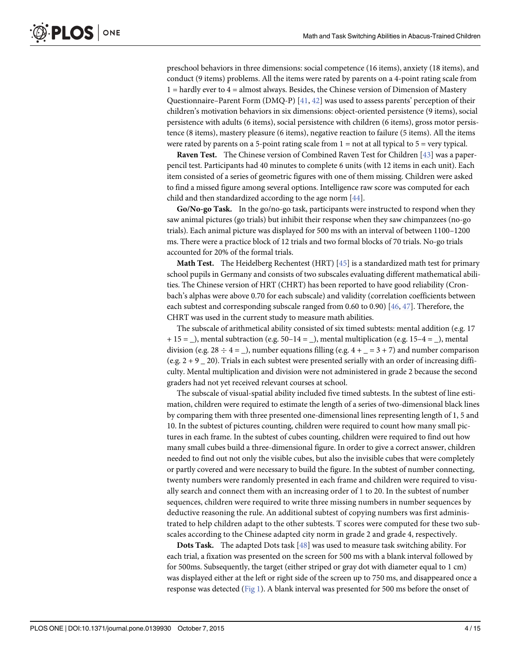<span id="page-3-0"></span>preschool behaviors in three dimensions: social competence (16 items), anxiety (18 items), and conduct (9 items) problems. All the items were rated by parents on a 4-point rating scale from 1 = hardly ever to 4 = almost always. Besides, the Chinese version of Dimension of Mastery Questionnaire–Parent Form (DMQ-P) [[41](#page-13-0), [42](#page-13-0)] was used to assess parents' perception of their children's motivation behaviors in six dimensions: object-oriented persistence (9 items), social persistence with adults (6 items), social persistence with children (6 items), gross motor persistence (8 items), mastery pleasure (6 items), negative reaction to failure (5 items). All the items were rated by parents on a 5-point rating scale from  $1 = not$  at all typical to  $5 = very$  typical.

Raven Test. The Chinese version of Combined Raven Test for Children [[43](#page-13-0)] was a paperpencil test. Participants had 40 minutes to complete 6 units (with 12 items in each unit). Each item consisted of a series of geometric figures with one of them missing. Children were asked to find a missed figure among several options. Intelligence raw score was computed for each child and then standardized according to the age norm [\[44\]](#page-13-0).

Go/No-go Task. In the go/no-go task, participants were instructed to respond when they saw animal pictures (go trials) but inhibit their response when they saw chimpanzees (no-go trials). Each animal picture was displayed for 500 ms with an interval of between 1100–1200 ms. There were a practice block of 12 trials and two formal blocks of 70 trials. No-go trials accounted for 20% of the formal trials.

**Math Test.** The Heidelberg Rechentest (HRT) [\[45\]](#page-13-0) is a standardized math test for primary school pupils in Germany and consists of two subscales evaluating different mathematical abilities. The Chinese version of HRT (CHRT) has been reported to have good reliability (Cronbach's alphas were above 0.70 for each subscale) and validity (correlation coefficients between each subtest and corresponding subscale ranged from 0.60 to 0.90) [ $46, 47$  $46, 47$  $46, 47$ ]. Therefore, the CHRT was used in the current study to measure math abilities.

The subscale of arithmetical ability consisted of six timed subtests: mental addition (e.g. 17  $+ 15 =$ ), mental subtraction (e.g.  $50-14 =$ ), mental multiplication (e.g.  $15-4 =$ ), mental division (e.g.  $28 \div 4 =$ ), number equations filling (e.g.  $4 + 3 + 7$ ) and number comparison (e.g.  $2 + 9$  20). Trials in each subtest were presented serially with an order of increasing difficulty. Mental multiplication and division were not administered in grade 2 because the second graders had not yet received relevant courses at school.

The subscale of visual-spatial ability included five timed subtests. In the subtest of line estimation, children were required to estimate the length of a series of two-dimensional black lines by comparing them with three presented one-dimensional lines representing length of 1, 5 and 10. In the subtest of pictures counting, children were required to count how many small pictures in each frame. In the subtest of cubes counting, children were required to find out how many small cubes build a three-dimensional figure. In order to give a correct answer, children needed to find out not only the visible cubes, but also the invisible cubes that were completely or partly covered and were necessary to build the figure. In the subtest of number connecting, twenty numbers were randomly presented in each frame and children were required to visually search and connect them with an increasing order of 1 to 20. In the subtest of number sequences, children were required to write three missing numbers in number sequences by deductive reasoning the rule. An additional subtest of copying numbers was first administrated to help children adapt to the other subtests. T scores were computed for these two subscales according to the Chinese adapted city norm in grade 2 and grade 4, respectively.

Dots Task. The adapted Dots task [[48](#page-13-0)] was used to measure task switching ability. For each trial, a fixation was presented on the screen for 500 ms with a blank interval followed by for 500ms. Subsequently, the target (either striped or gray dot with diameter equal to 1 cm) was displayed either at the left or right side of the screen up to 750 ms, and disappeared once a response was detected ([Fig 1](#page-4-0)). A blank interval was presented for 500 ms before the onset of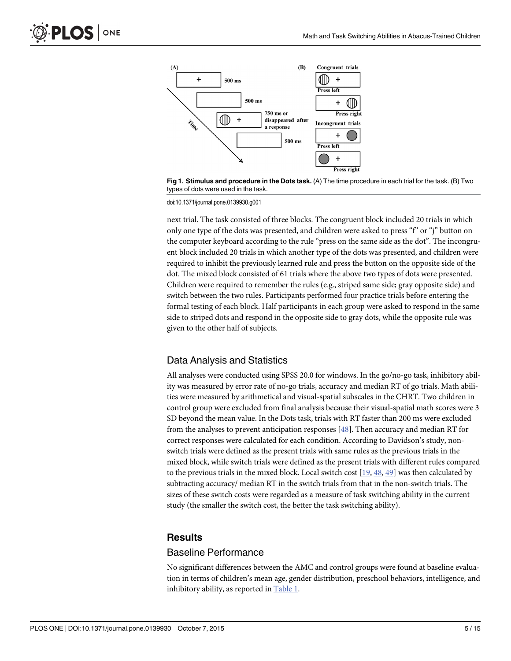<span id="page-4-0"></span>

[Fig 1. S](#page-3-0)timulus and procedure in the Dots task. (A) The time procedure in each trial for the task. (B) Two types of dots were used in the task.

doi:10.1371/journal.pone.0139930.g001

next trial. The task consisted of three blocks. The congruent block included 20 trials in which only one type of the dots was presented, and children were asked to press "f" or "j" button on the computer keyboard according to the rule "press on the same side as the dot". The incongruent block included 20 trials in which another type of the dots was presented, and children were required to inhibit the previously learned rule and press the button on the opposite side of the dot. The mixed block consisted of 61 trials where the above two types of dots were presented. Children were required to remember the rules (e.g., striped same side; gray opposite side) and switch between the two rules. Participants performed four practice trials before entering the formal testing of each block. Half participants in each group were asked to respond in the same side to striped dots and respond in the opposite side to gray dots, while the opposite rule was given to the other half of subjects.

#### Data Analysis and Statistics

All analyses were conducted using SPSS 20.0 for windows. In the go/no-go task, inhibitory ability was measured by error rate of no-go trials, accuracy and median RT of go trials. Math abilities were measured by arithmetical and visual-spatial subscales in the CHRT. Two children in control group were excluded from final analysis because their visual-spatial math scores were 3 SD beyond the mean value. In the Dots task, trials with RT faster than 200 ms were excluded from the analyses to prevent anticipation responses  $[48]$  $[48]$ . Then accuracy and median RT for correct responses were calculated for each condition. According to Davidson's study, nonswitch trials were defined as the present trials with same rules as the previous trials in the mixed block, while switch trials were defined as the present trials with different rules compared to the previous trials in the mixed block. Local switch cost  $[19, 48, 49]$  $[19, 48, 49]$  $[19, 48, 49]$  $[19, 48, 49]$  $[19, 48, 49]$  $[19, 48, 49]$  was then calculated by subtracting accuracy/ median RT in the switch trials from that in the non-switch trials. The sizes of these switch costs were regarded as a measure of task switching ability in the current study (the smaller the switch cost, the better the task switching ability).

#### **Results**

#### Baseline Performance

No significant differences between the AMC and control groups were found at baseline evaluation in terms of children's mean age, gender distribution, preschool behaviors, intelligence, and inhibitory ability, as reported in [Table 1](#page-5-0).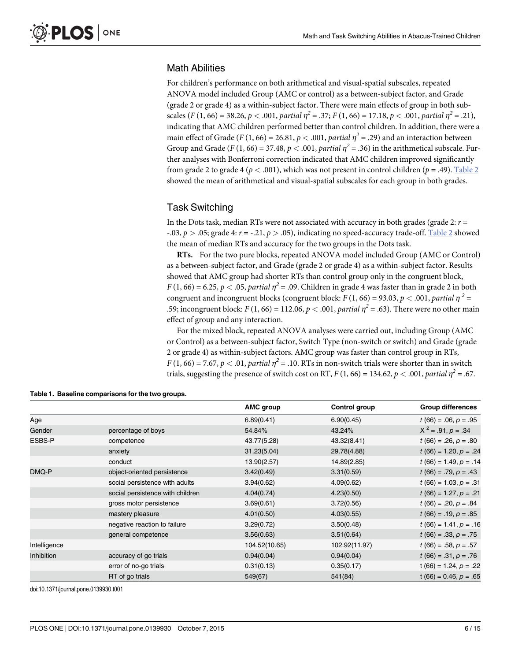# <span id="page-5-0"></span>Math Abilities

For children's performance on both arithmetical and visual-spatial subscales, repeated ANOVA model included Group (AMC or control) as a between-subject factor, and Grade (grade 2 or grade 4) as a within-subject factor. There were main effects of group in both subscales  $(F (1, 66) = 38.26, p < .001,$  partial  $\eta^2 = .37; F (1, 66) = 17.18, p < .001,$  partial  $\eta^2 = .21$ ), indicating that AMC children performed better than control children. In addition, there were a main effect of Grade (F (1, 66) = 26.81,  $p < .001$ , partial  $\eta^2 = .29$ ) and an interaction between Group and Grade (F (1, 66) = 37.48,  $p < .001$ , partial  $\eta^2 = .36$ ) in the arithmetical subscale. Further analyses with Bonferroni correction indicated that AMC children improved significantly from grade 2 to grade 4 ( $p < .001$ ), which was not present in control children ( $p = .49$ ). [Table 2](#page-6-0) showed the mean of arithmetical and visual-spatial subscales for each group in both grades.

#### Task Switching

In the Dots task, median RTs were not associated with accuracy in both grades (grade 2:  $r =$ -.03,  $p > 0.05$ ; grade 4:  $r = -0.21$ ,  $p > 0.05$ ), indicating no speed-accuracy trade-off. [Table 2](#page-6-0) showed the mean of median RTs and accuracy for the two groups in the Dots task.

RTs. For the two pure blocks, repeated ANOVA model included Group (AMC or Control) as a between-subject factor, and Grade (grade 2 or grade 4) as a within-subject factor. Results showed that AMC group had shorter RTs than control group only in the congruent block,  $F(1, 66) = 6.25, p < .05,$  partial  $\eta^2 = .09$ . Children in grade 4 was faster than in grade 2 in both congruent and incongruent blocks (congruent block:  $F(1, 66) = 93.03$ ,  $p < .001$ , partial  $\eta^2 =$ .59; incongruent block:  $F(1, 66) = 112.06$ ,  $p < .001$ , partial  $\eta^2 = .63$ ). There were no other main effect of group and any interaction.

For the mixed block, repeated ANOVA analyses were carried out, including Group (AMC or Control) as a between-subject factor, Switch Type (non-switch or switch) and Grade (grade 2 or grade 4) as within-subject factors. AMC group was faster than control group in RTs,  $F(1, 66) = 7.67$ ,  $p < .01$ , partial  $\eta^2 = .10$ . RTs in non-switch trials were shorter than in switch trials, suggesting the presence of switch cost on RT,  $F(1, 66) = 134.62$ ,  $p < .001$ , partial  $\eta^2 = .67$ .

|                   |                                  | AMC group     | Control group | <b>Group differences</b> |
|-------------------|----------------------------------|---------------|---------------|--------------------------|
| Age               |                                  | 6.89(0.41)    | 6.90(0.45)    | $t(66) = .06, p = .95$   |
| Gender            | percentage of boys               | 54.84%        | 43.24%        | $X^2 = .91, p = .34$     |
| ESBS-P            | competence                       | 43.77(5.28)   | 43.32(8.41)   | $t(66) = .26, p = .80$   |
|                   | anxiety                          | 31.23(5.04)   | 29.78(4.88)   | $t(66) = 1.20, p = .24$  |
|                   | conduct                          | 13.90(2.57)   | 14.89(2.85)   | $t(66) = 1.49, p = .14$  |
| DMQ-P             | object-oriented persistence      | 3.42(0.49)    | 3.31(0.59)    | $t(66) = .79, p = .43$   |
|                   | social persistence with adults   | 3.94(0.62)    | 4.09(0.62)    | $t(66) = 1.03, p = .31$  |
|                   | social persistence with children | 4.04(0.74)    | 4.23(0.50)    | $t(66) = 1.27, p = .21$  |
|                   | gross motor persistence          | 3.69(0.61)    | 3.72(0.56)    | $t(66) = .20, p = .84$   |
|                   | mastery pleasure                 | 4.01(0.50)    | 4.03(0.55)    | $t(66) = .19, p = .85$   |
|                   | negative reaction to failure     | 3.29(0.72)    | 3.50(0.48)    | $t(66) = 1.41, p = .16$  |
|                   | general competence               | 3.56(0.63)    | 3.51(0.64)    | $t(66) = .33, p = .75$   |
| Intelligence      |                                  | 104.52(10.65) | 102.92(11.97) | $t(66) = .58, p = .57$   |
| <b>Inhibition</b> | accuracy of go trials            | 0.94(0.04)    | 0.94(0.04)    | $t(66) = .31, p = .76$   |
|                   | error of no-go trials            | 0.31(0.13)    | 0.35(0.17)    | t (66) = 1.24, $p = .22$ |
|                   | RT of go trials                  | 549(67)       | 541(84)       | $t(66) = 0.46, p = .65$  |

[Table 1.](#page-4-0) Baseline comparisons for the two groups.

doi:10.1371/journal.pone.0139930.t001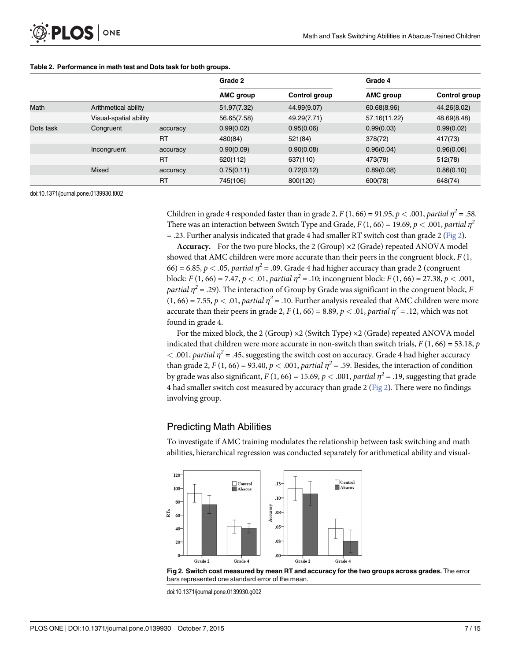#### <span id="page-6-0"></span>[Table 2.](#page-5-0) Performance in math test and Dots task for both groups.

|             |                        |           | Grade 2     |               | Grade 4      |               |
|-------------|------------------------|-----------|-------------|---------------|--------------|---------------|
|             |                        |           | AMC group   | Control group | AMC group    | Control group |
| <b>Math</b> | Arithmetical ability   |           | 51.97(7.32) | 44.99(9.07)   | 60.68(8.96)  | 44.26(8.02)   |
|             | Visual-spatial ability |           | 56.65(7.58) | 49.29(7.71)   | 57.16(11.22) | 48.69(8.48)   |
| Dots task   | Congruent              | accuracy  | 0.99(0.02)  | 0.95(0.06)    | 0.99(0.03)   | 0.99(0.02)    |
|             |                        | <b>RT</b> | 480(84)     | 521(84)       | 378(72)      | 417(73)       |
|             | Incongruent            | accuracy  | 0.90(0.09)  | 0.90(0.08)    | 0.96(0.04)   | 0.96(0.06)    |
|             |                        | <b>RT</b> | 620(112)    | 637(110)      | 473(79)      | 512(78)       |
|             | Mixed                  | accuracy  | 0.75(0.11)  | 0.72(0.12)    | 0.89(0.08)   | 0.86(0.10)    |
|             |                        | <b>RT</b> | 745(106)    | 800(120)      | 600(78)      | 648(74)       |

doi:10.1371/journal.pone.0139930.t002

Children in grade 4 responded faster than in grade 2,  $F(1, 66) = 91.95$ ,  $p < .001$ , partial  $\eta^2 = .58$ . There was an interaction between Switch Type and Grade,  $F(1, 66) = 19.69$ ,  $p < .001$ , partial  $\eta^2$  $=$  .23. Further analysis indicated that grade 4 had smaller RT switch cost than grade 2 (Fig 2).

**Accuracy.** For the two pure blocks, the 2 (Group)  $\times$  2 (Grade) repeated ANOVA model showed that AMC children were more accurate than their peers in the congruent block,  $F(1, 1)$ 66) = 6.85,  $p < .05$ , partial  $\eta^2 = .09$ . Grade 4 had higher accuracy than grade 2 (congruent block:  $F(1, 66) = 7.47$ ,  $p < .01$ , partial  $\eta^2 = .10$ ; incongruent block:  $F(1, 66) = 27.38$ ,  $p < .001$ , partial  $\eta^2$  = .29). The interaction of Group by Grade was significant in the congruent block, F  $(1, 66) = 7.55$ ,  $p < .01$ , partial  $\eta^2 = .10$ . Further analysis revealed that AMC children were more accurate than their peers in grade 2,  $F(1, 66) = 8.89, p < .01,$  partial  $\eta^2 = .12$ , which was not found in grade 4.

For the mixed block, the 2 (Group)  $\times$ 2 (Switch Type)  $\times$ 2 (Grade) repeated ANOVA model indicated that children were more accurate in non-switch than switch trials,  $F(1, 66) = 53.18$ , p  $<$  0.001, partial  $\eta^2$  = .45, suggesting the switch cost on accuracy. Grade 4 had higher accuracy than grade 2, F (1, 66) = 93.40,  $p < .001$ , partial  $\eta^2 = .59$ . Besides, the interaction of condition by grade was also significant,  $F(1, 66) = 15.69$ ,  $p < .001$ , partial  $\eta^2 = .19$ , suggesting that grade 4 had smaller switch cost measured by accuracy than grade 2 (Fig 2). There were no findings involving group.

#### Predicting Math Abilities

To investigate if AMC training modulates the relationship between task switching and math abilities, hierarchical regression was conducted separately for arithmetical ability and visual-



Fig 2. Switch cost measured by mean RT and accuracy for the two groups across grades. The error bars represented one standard error of the mean.

doi:10.1371/journal.pone.0139930.g002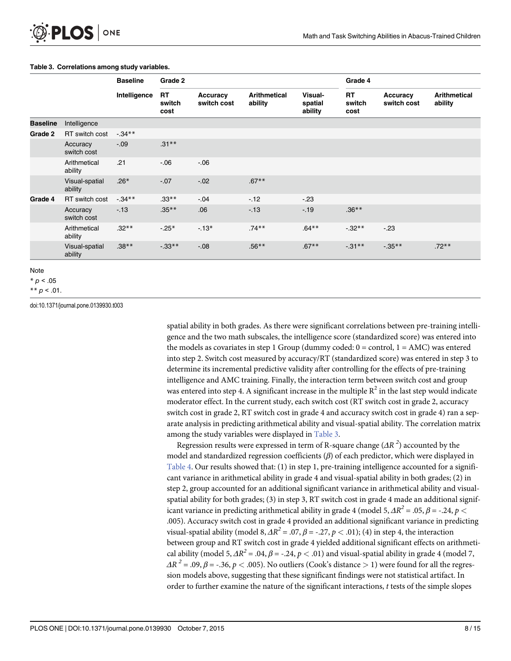#### <span id="page-7-0"></span>Table 3. Correlations among study variables.

|                 |                           | <b>Baseline</b><br>Intelligence | Grade 2                     |                         |                                | Grade 4                       |                             |                         |                                |
|-----------------|---------------------------|---------------------------------|-----------------------------|-------------------------|--------------------------------|-------------------------------|-----------------------------|-------------------------|--------------------------------|
|                 |                           |                                 | <b>RT</b><br>switch<br>cost | Accuracy<br>switch cost | <b>Arithmetical</b><br>ability | Visual-<br>spatial<br>ability | <b>RT</b><br>switch<br>cost | Accuracy<br>switch cost | <b>Arithmetical</b><br>ability |
| <b>Baseline</b> | Intelligence              |                                 |                             |                         |                                |                               |                             |                         |                                |
| Grade 2         | RT switch cost            | $-34**$                         |                             |                         |                                |                               |                             |                         |                                |
|                 | Accuracy<br>switch cost   | $-.09$                          | $.31***$                    |                         |                                |                               |                             |                         |                                |
|                 | Arithmetical<br>ability   | .21                             | $-06$                       | $-0.06$                 |                                |                               |                             |                         |                                |
|                 | Visual-spatial<br>ability | $.26*$                          | $-.07$                      | $-.02$                  | $.67**$                        |                               |                             |                         |                                |
| Grade 4         | RT switch cost            | $-0.34**$                       | $.33**$                     | $-0.04$                 | $-12$                          | $-23$                         |                             |                         |                                |
|                 | Accuracy<br>switch cost   | $-13$                           | $.35***$                    | .06                     | $-13$                          | $-.19$                        | $.36***$                    |                         |                                |
|                 | Arithmetical<br>ability   | $.32***$                        | $-25*$                      | $-13*$                  | $.74**$                        | $.64***$                      | $-0.32**$                   | $-23$                   |                                |
|                 | Visual-spatial<br>ability | $.38**$                         | $-0.33**$                   | $-.08$                  | $.56***$                       | $.67**$                       | $-0.31**$                   | $-0.35**$               | $.72**$                        |

Note

 $* p < .05$ 

\*\*  $p < .01$ .

doi:10.1371/journal.pone.0139930.t003

spatial ability in both grades. As there were significant correlations between pre-training intelligence and the two math subscales, the intelligence score (standardized score) was entered into the models as covariates in step 1 Group (dummy coded:  $0 =$  control,  $1 = AMC$ ) was entered into step 2. Switch cost measured by accuracy/RT (standardized score) was entered in step 3 to determine its incremental predictive validity after controlling for the effects of pre-training intelligence and AMC training. Finally, the interaction term between switch cost and group was entered into step 4. A significant increase in the multiple  $R^2$  in the last step would indicate moderator effect. In the current study, each switch cost (RT switch cost in grade 2, accuracy switch cost in grade 2, RT switch cost in grade 4 and accuracy switch cost in grade 4) ran a separate analysis in predicting arithmetical ability and visual-spatial ability. The correlation matrix among the study variables were displayed in Table 3.

Regression results were expressed in term of R-square change ( $\varDelta R$   $^2$ ) accounted by the model and standardized regression coefficients  $(\beta)$  of each predictor, which were displayed in [Table 4](#page-8-0). Our results showed that: (1) in step 1, pre-training intelligence accounted for a significant variance in arithmetical ability in grade 4 and visual-spatial ability in both grades; (2) in step 2, group accounted for an additional significant variance in arithmetical ability and visualspatial ability for both grades; (3) in step 3, RT switch cost in grade 4 made an additional significant variance in predicting arithmetical ability in grade 4 (model 5,  $\Delta R^2 = .05$ ,  $\beta = -.24$ ,  $p <$ .005). Accuracy switch cost in grade 4 provided an additional significant variance in predicting visual-spatial ability (model 8,  $\Delta R^2 = .07$ ,  $\beta = -.27$ ,  $p < .01$ ); (4) in step 4, the interaction between group and RT switch cost in grade 4 yielded additional significant effects on arithmetical ability (model 5,  $\Delta R^2 = .04$ ,  $\beta = .24$ ,  $p < .01$ ) and visual-spatial ability in grade 4 (model 7,  $\Delta R^2$  = .09,  $\beta$  = -.36,  $p <$  .005). No outliers (Cook's distance > 1) were found for all the regression models above, suggesting that these significant findings were not statistical artifact. In order to further examine the nature of the significant interactions, t tests of the simple slopes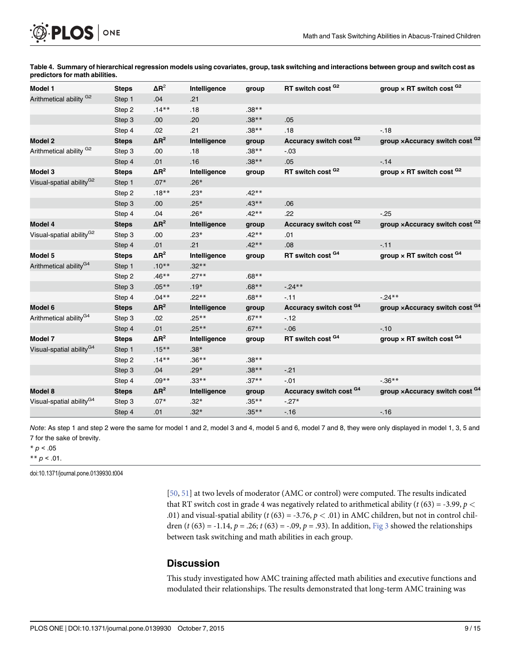<span id="page-8-0"></span>

Model 1 Steps  $\Delta R^2$  Intelligence group RT switch cost  $^{G2}$  group × RT switch cost  $^{G2}$ Arithmetical ability <sup>G2</sup> Step 1 .04 .21 Step 2 .14\*\* .18 .38\*\* Step 3 .00 .20 .38\*\* .05 Step 4 .02 .21 .38\*\* .18 -.18 Model 2 Steps ΔR<sup>2</sup> Intelligence group Accuracy switch cost <sup>G2</sup> group ×Accuracy switch cost <sup>G2</sup> Arithmetical ability  $G^2$  Step 3 .00 .18 .38\*\* -.03 Step 4 .01 .16 .38\*\* .05 -.14 Model 3 Steps  $\Delta R^2$  Intelligence group RT switch cost  $^{G2}$  group × RT switch cost  $^{G2}$ Visual-spatial ability<sup>G2</sup> 6 Step 1  $.07*$  .26\* Step 2 .18\*\* .23\* .42\*\* Step 3 .00 .25\* .43\*\* .06 Step 4 .04 .26\* .42\*\* .22 -.25 Model 4 Steps  $\Delta R^2$  Intelligence group Accuracy switch cost  $^{G2}$  group ×Accuracy switch cost  $^{G2}$ Visual-spatial ability<sup>G2</sup> Step 3 .00 .23\* .42\*\* .01 Step 4 .01 .21 .42\*\* .08 -.11 Model 5 Steps  $\Delta R^2$  Intelligence group RT switch cost  $^{G4}$  group × RT switch cost  $^{G4}$ Arithmetical ability<sup>G4</sup> Step 1  $.10^{**}$  .32\*\* Step 2 .46\*\* .27\*\* .68\*\* Step 3 .05\*\* .19\* .68\*\* -.24\*\* Step 4 .04\*\* .22\*\* .68\*\* -.11 -.24\*\* Model 6 Steps ΔR<sup>2</sup> Intelligence group Accuracy switch cost <sup>G4</sup> group ×Accuracy switch cost <sup>G4</sup> Arithmetical ability<sup>G4</sup> 5tep 3 .02 .25<sup>\*\*</sup> .67<sup>\*\*</sup> .12 Step 4  $.01$   $.25**$   $.67**$   $.06$   $.10$ Model 7 Steps  $\Delta R^2$  Intelligence group RT switch cost  $^{G4}$  group × RT switch cost  $^{G4}$ Visual-spatial ability<sup>G4</sup> Step 1  $.15**$  .38\* Step 2 .14\*\* .36\*\* .38\*\* Step 3 .04 .29\* .38\*\* -.21 Step 4  $.09^{**}$  .33\*\*  $.33^{**}$  .37\*\*  $.01$  .36\*\* Model 8  $\,$  Steps  $\,$   $\Delta$ R $^{2}$  Intelligence group Accuracy switch cost  $^{G4}$  group  $\times$ Accuracy switch cost  $^{G4}$ Visual-spatial ability<sup>G4</sup> Step 3  $.07*$   $.32*$   $.35**$   $.27*$ Step 4  $.01$   $.32*$   $.35**$   $.16$   $.16$ 

[Table 4.](#page-7-0) Summary of hierarchical regression models using covariates, group, task switching and interactions between group and switch cost as predictors for math abilities.

Note: As step 1 and step 2 were the same for model 1 and 2, model 3 and 4, model 5 and 6, model 7 and 8, they were only displayed in model 1, 3, 5 and 7 for the sake of brevity.

 $* p < .05$ 

\*\*  $p < .01$ .

doi:10.1371/journal.pone.0139930.t004

[\[50](#page-13-0), [51\]](#page-13-0) at two levels of moderator (AMC or control) were computed. The results indicated that RT switch cost in grade 4 was negatively related to arithmetical ability ( $t$  (63) = -3.99,  $p$  < .01) and visual-spatial ability (t (63) = -3.76,  $p < .01$ ) in AMC children, but not in control children (t (63) = -1.14, p = .26; t (63) = -.09, p = .93). In addition,  $Fig 3$  showed the relationships between task switching and math abilities in each group.

## **Discussion**

This study investigated how AMC training affected math abilities and executive functions and modulated their relationships. The results demonstrated that long-term AMC training was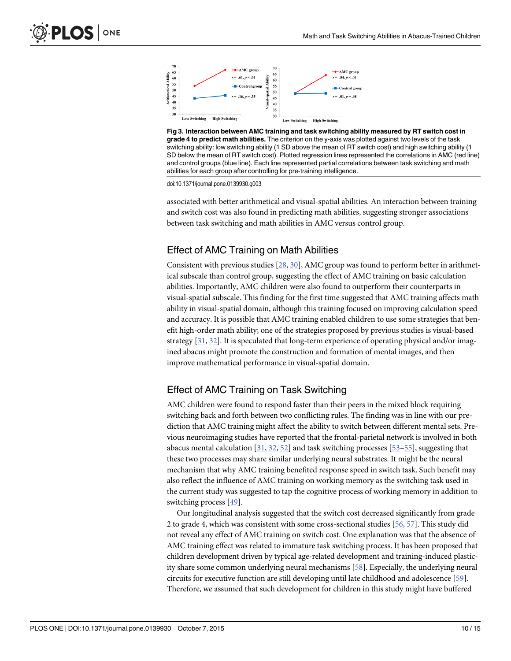<span id="page-9-0"></span>

[Fig 3. I](#page-8-0)nteraction between AMC training and task switching ability measured by RT switch cost in grade 4 to predict math abilities. The criterion on the y-axis was plotted against two levels of the task switching ability: low switching ability (1 SD above the mean of RT switch cost) and high switching ability (1 SD below the mean of RT switch cost). Plotted regression lines represented the correlations in AMC (red line) and control groups (blue line). Each line represented partial correlations between task switching and math abilities for each group after controlling for pre-training intelligence.

doi:10.1371/journal.pone.0139930.g003

associated with better arithmetical and visual-spatial abilities. An interaction between training and switch cost was also found in predicting math abilities, suggesting stronger associations between task switching and math abilities in AMC versus control group.

## Effect of AMC Training on Math Abilities

Consistent with previous studies [[28](#page-12-0), [30](#page-12-0)], AMC group was found to perform better in arithmetical subscale than control group, suggesting the effect of AMC training on basic calculation abilities. Importantly, AMC children were also found to outperform their counterparts in visual-spatial subscale. This finding for the first time suggested that AMC training affects math ability in visual-spatial domain, although this training focused on improving calculation speed and accuracy. It is possible that AMC training enabled children to use some strategies that benefit high-order math ability; one of the strategies proposed by previous studies is visual-based strategy [[31](#page-12-0), [32](#page-12-0)]. It is speculated that long-term experience of operating physical and/or imagined abacus might promote the construction and formation of mental images, and then improve mathematical performance in visual-spatial domain.

# Effect of AMC Training on Task Switching

AMC children were found to respond faster than their peers in the mixed block requiring switching back and forth between two conflicting rules. The finding was in line with our prediction that AMC training might affect the ability to switch between different mental sets. Previous neuroimaging studies have reported that the frontal-parietal network is involved in both abacus mental calculation  $[31, 32, 52]$  $[31, 32, 52]$  $[31, 32, 52]$  $[31, 32, 52]$  $[31, 32, 52]$  $[31, 32, 52]$  $[31, 32, 52]$  and task switching processes  $[53–55]$  $[53–55]$  $[53–55]$  $[53–55]$  $[53–55]$ , suggesting that these two processes may share similar underlying neural substrates. It might be the neural mechanism that why AMC training benefited response speed in switch task. Such benefit may also reflect the influence of AMC training on working memory as the switching task used in the current study was suggested to tap the cognitive process of working memory in addition to switching process [[49](#page-13-0)].

Our longitudinal analysis suggested that the switch cost decreased significantly from grade 2 to grade 4, which was consistent with some cross-sectional studies [\[56,](#page-13-0) [57\]](#page-13-0). This study did not reveal any effect of AMC training on switch cost. One explanation was that the absence of AMC training effect was related to immature task switching process. It has been proposed that children development driven by typical age-related development and training-induced plasticity share some common underlying neural mechanisms [\[58](#page-13-0)]. Especially, the underlying neural circuits for executive function are still developing until late childhood and adolescence [\[59\]](#page-13-0). Therefore, we assumed that such development for children in this study might have buffered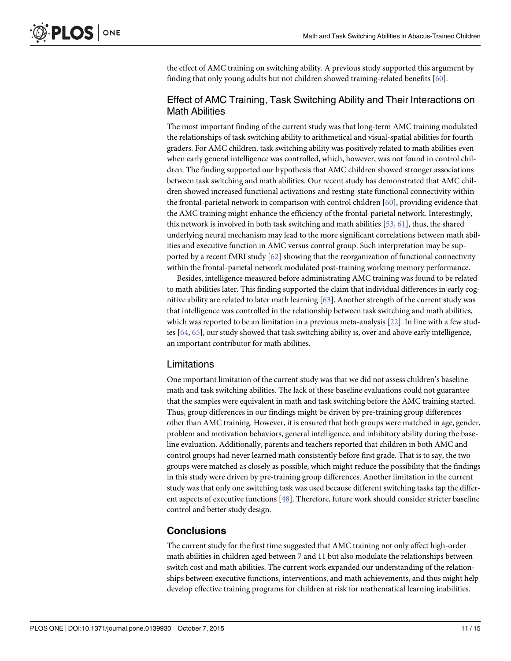<span id="page-10-0"></span>the effect of AMC training on switching ability. A previous study supported this argument by finding that only young adults but not children showed training-related benefits [[60](#page-13-0)].

# Effect of AMC Training, Task Switching Ability and Their Interactions on Math Abilities

The most important finding of the current study was that long-term AMC training modulated the relationships of task switching ability to arithmetical and visual-spatial abilities for fourth graders. For AMC children, task switching ability was positively related to math abilities even when early general intelligence was controlled, which, however, was not found in control children. The finding supported our hypothesis that AMC children showed stronger associations between task switching and math abilities. Our recent study has demonstrated that AMC children showed increased functional activations and resting-state functional connectivity within the frontal-parietal network in comparison with control children [[60](#page-13-0)], providing evidence that the AMC training might enhance the efficiency of the frontal-parietal network. Interestingly, this network is involved in both task switching and math abilities  $[53, 61]$  $[53, 61]$  $[53, 61]$  $[53, 61]$ , thus, the shared underlying neural mechanism may lead to the more significant correlations between math abilities and executive function in AMC versus control group. Such interpretation may be supported by a recent fMRI study  $[62]$  $[62]$  showing that the reorganization of functional connectivity within the frontal-parietal network modulated post-training working memory performance.

Besides, intelligence measured before administrating AMC training was found to be related to math abilities later. This finding supported the claim that individual differences in early cognitive ability are related to later math learning  $[63]$  $[63]$  $[63]$ . Another strength of the current study was that intelligence was controlled in the relationship between task switching and math abilities, which was reported to be an limitation in a previous meta-analysis  $[22]$  $[22]$  $[22]$ . In line with a few studies [\[64,](#page-14-0) [65\]](#page-14-0), our study showed that task switching ability is, over and above early intelligence, an important contributor for math abilities.

## Limitations

One important limitation of the current study was that we did not assess children's baseline math and task switching abilities. The lack of these baseline evaluations could not guarantee that the samples were equivalent in math and task switching before the AMC training started. Thus, group differences in our findings might be driven by pre-training group differences other than AMC training. However, it is ensured that both groups were matched in age, gender, problem and motivation behaviors, general intelligence, and inhibitory ability during the baseline evaluation. Additionally, parents and teachers reported that children in both AMC and control groups had never learned math consistently before first grade. That is to say, the two groups were matched as closely as possible, which might reduce the possibility that the findings in this study were driven by pre-training group differences. Another limitation in the current study was that only one switching task was used because different switching tasks tap the different aspects of executive functions [\[48](#page-13-0)]. Therefore, future work should consider stricter baseline control and better study design.

# **Conclusions**

The current study for the first time suggested that AMC training not only affect high-order math abilities in children aged between 7 and 11 but also modulate the relationships between switch cost and math abilities. The current work expanded our understanding of the relationships between executive functions, interventions, and math achievements, and thus might help develop effective training programs for children at risk for mathematical learning inabilities.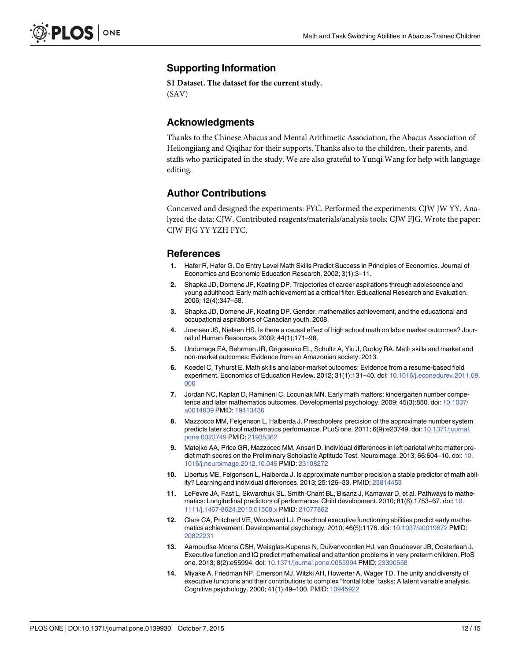# <span id="page-11-0"></span>Supporting Information

[S1 Dataset.](http://www.plosone.org/article/fetchSingleRepresentation.action?uri=info:doi/10.1371/journal.pone.0139930.s001) The dataset for the current study. (SAV)

#### Acknowledgments

Thanks to the Chinese Abacus and Mental Arithmetic Association, the Abacus Association of Heilongjiang and Qiqihar for their supports. Thanks also to the children, their parents, and staffs who participated in the study. We are also grateful to Yunqi Wang for help with language editing.

#### Author Contributions

Conceived and designed the experiments: FYC. Performed the experiments: CJW JW YY. Analyzed the data: CJW. Contributed reagents/materials/analysis tools: CJW FJG. Wrote the paper: CJW FJG YY YZH FYC.

#### References

- [1.](#page-0-0) Hafer R, Hafer G. Do Entry Level Math Skills Predict Success in Principles of Economics. Journal of Economics and Economic Education Research. 2002; 3(1):3–11.
- [2.](#page-0-0) Shapka JD, Domene JF, Keating DP. Trajectories of career aspirations through adolescence and young adulthood: Early math achievement as a critical filter. Educational Research and Evaluation. 2006; 12(4):347–58.
- [3.](#page-0-0) Shapka JD, Domene JF, Keating DP. Gender, mathematics achievement, and the educational and occupational aspirations of Canadian youth. 2008.
- [4.](#page-0-0) Joensen JS, Nielsen HS. Is there a causal effect of high school math on labor market outcomes? Journal of Human Resources. 2009; 44(1):171–98.
- 5. Undurraga EA, Behrman JR, Grigorenko EL, Schultz A, Yiu J, Godoy RA. Math skills and market and non-market outcomes: Evidence from an Amazonian society. 2013.
- [6.](#page-0-0) Koedel C, Tyhurst E. Math skills and labor-market outcomes: Evidence from a resume-based field experiment. Economics of Education Review. 2012; 31(1):131–40. doi: [10.1016/j.econedurev.2011.09.](http://dx.doi.org/10.1016/j.econedurev.2011.09.006) [006](http://dx.doi.org/10.1016/j.econedurev.2011.09.006)
- [7.](#page-0-0) Jordan NC, Kaplan D, Ramineni C, Locuniak MN. Early math matters: kindergarten number competence and later mathematics outcomes. Developmental psychology. 2009; 45(3):850. doi: [10.1037/](http://dx.doi.org/10.1037/a0014939) [a0014939](http://dx.doi.org/10.1037/a0014939) PMID: [19413436](http://www.ncbi.nlm.nih.gov/pubmed/19413436)
- [8.](#page-0-0) Mazzocco MM, Feigenson L, Halberda J. Preschoolers' precision of the approximate number system predicts later school mathematics performance. PLoS one. 2011; 6(9):e23749. doi: [10.1371/journal.](http://dx.doi.org/10.1371/journal.pone.0023749) [pone.0023749](http://dx.doi.org/10.1371/journal.pone.0023749) PMID: [21935362](http://www.ncbi.nlm.nih.gov/pubmed/21935362)
- [9.](#page-0-0) Matejko AA, Price GR, Mazzocco MM, Ansari D. Individual differences in left parietal white matter predict math scores on the Preliminary Scholastic Aptitude Test. Neuroimage. 2013; 66:604–10. doi: [10.](http://dx.doi.org/10.1016/j.neuroimage.2012.10.045) [1016/j.neuroimage.2012.10.045](http://dx.doi.org/10.1016/j.neuroimage.2012.10.045) PMID: [23108272](http://www.ncbi.nlm.nih.gov/pubmed/23108272)
- 10. Libertus ME, Feigenson L, Halberda J. Is approximate number precision a stable predictor of math abil-ity? Learning and individual differences. 2013; 25:126-33. PMID: [23814453](http://www.ncbi.nlm.nih.gov/pubmed/23814453)
- [11.](#page-0-0) LeFevre JA, Fast L, Skwarchuk SL, Smith-Chant BL, Bisanz J, Kamawar D, et al. Pathways to mathematics: Longitudinal predictors of performance. Child development. 2010; 81(6):1753–67. doi: [10.](http://dx.doi.org/10.1111/j.1467-8624.2010.01508.x) [1111/j.1467-8624.2010.01508.x](http://dx.doi.org/10.1111/j.1467-8624.2010.01508.x) PMID: [21077862](http://www.ncbi.nlm.nih.gov/pubmed/21077862)
- [12.](#page-0-0) Clark CA, Pritchard VE, Woodward LJ. Preschool executive functioning abilities predict early mathematics achievement. Developmental psychology. 2010; 46(5):1176. doi: [10.1037/a0019672](http://dx.doi.org/10.1037/a0019672) PMID: [20822231](http://www.ncbi.nlm.nih.gov/pubmed/20822231)
- [13.](#page-0-0) Aarnoudse-Moens CSH, Weisglas-Kuperus N, Duivenvoorden HJ, van Goudoever JB, Oosterlaan J. Executive function and IQ predict mathematical and attention problems in very preterm children. PloS one. 2013; 8(2):e55994. doi: [10.1371/journal.pone.0055994](http://dx.doi.org/10.1371/journal.pone.0055994) PMID: [23390558](http://www.ncbi.nlm.nih.gov/pubmed/23390558)
- [14.](#page-1-0) Miyake A, Friedman NP, Emerson MJ, Witzki AH, Howerter A, Wager TD. The unity and diversity of executive functions and their contributions to complex "frontal lobe" tasks: A latent variable analysis. Cognitive psychology. 2000; 41(1):49–100. PMID: [10945922](http://www.ncbi.nlm.nih.gov/pubmed/10945922)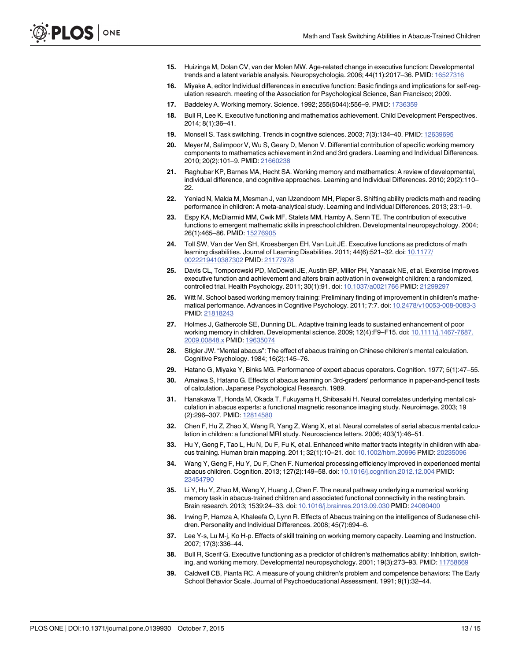- <span id="page-12-0"></span>[15.](#page-1-0) Huizinga M, Dolan CV, van der Molen MW. Age-related change in executive function: Developmental trends and a latent variable analysis. Neuropsychologia. 2006; 44(11):2017–36. PMID: [16527316](http://www.ncbi.nlm.nih.gov/pubmed/16527316)
- [16.](#page-1-0) Miyake A, editor Individual differences in executive function: Basic findings and implications for self-regulation research. meeting of the Association for Psychological Science, San Francisco; 2009.
- [17.](#page-1-0) Baddeley A. Working memory. Science. 1992; 255(5044):556-9. PMID: [1736359](http://www.ncbi.nlm.nih.gov/pubmed/1736359)
- [18.](#page-1-0) Bull R, Lee K. Executive functioning and mathematics achievement. Child Development Perspectives. 2014; 8(1):36–41.
- [19.](#page-1-0) Monsell S. Task switching. Trends in cognitive sciences. 2003; 7(3):134–40. PMID: [12639695](http://www.ncbi.nlm.nih.gov/pubmed/12639695)
- [20.](#page-1-0) Meyer M, Salimpoor V, Wu S, Geary D, Menon V. Differential contribution of specific working memory components to mathematics achievement in 2nd and 3rd graders. Learning and Individual Differences. 2010; 20(2):101–9. PMID: [21660238](http://www.ncbi.nlm.nih.gov/pubmed/21660238)
- [21.](#page-1-0) Raghubar KP, Barnes MA, Hecht SA. Working memory and mathematics: A review of developmental, individual difference, and cognitive approaches. Learning and Individual Differences. 2010; 20(2):110– 22.
- [22.](#page-1-0) Yeniad N, Malda M, Mesman J, van IJzendoorn MH, Pieper S. Shifting ability predicts math and reading performance in children: A meta-analytical study. Learning and Individual Differences. 2013; 23:1–9.
- [23.](#page-1-0) Espy KA, McDiarmid MM, Cwik MF, Stalets MM, Hamby A, Senn TE. The contribution of executive functions to emergent mathematic skills in preschool children. Developmental neuropsychology. 2004; 26(1):465–86. PMID: [15276905](http://www.ncbi.nlm.nih.gov/pubmed/15276905)
- [24.](#page-1-0) Toll SW, Van der Ven SH, Kroesbergen EH, Van Luit JE. Executive functions as predictors of math learning disabilities. Journal of Learning Disabilities. 2011; 44(6):521–32. doi: [10.1177/](http://dx.doi.org/10.1177/0022219410387302) [0022219410387302](http://dx.doi.org/10.1177/0022219410387302) PMID: [21177978](http://www.ncbi.nlm.nih.gov/pubmed/21177978)
- [25.](#page-1-0) Davis CL, Tomporowski PD, McDowell JE, Austin BP, Miller PH, Yanasak NE, et al. Exercise improves executive function and achievement and alters brain activation in overweight children: a randomized, controlled trial. Health Psychology. 2011; 30(1):91. doi: [10.1037/a0021766](http://dx.doi.org/10.1037/a0021766) PMID: [21299297](http://www.ncbi.nlm.nih.gov/pubmed/21299297)
- 26. Witt M. School based working memory training: Preliminary finding of improvement in children's mathematical performance. Advances in Cognitive Psychology. 2011; 7:7. doi: [10.2478/v10053-008-0083-3](http://dx.doi.org/10.2478/v10053-008-0083-3) PMID: [21818243](http://www.ncbi.nlm.nih.gov/pubmed/21818243)
- [27.](#page-1-0) Holmes J, Gathercole SE, Dunning DL. Adaptive training leads to sustained enhancement of poor working memory in children. Developmental science. 2009; 12(4):F9–F15. doi: [10.1111/j.1467-7687.](http://dx.doi.org/10.1111/j.1467-7687.2009.00848.x) [2009.00848.x](http://dx.doi.org/10.1111/j.1467-7687.2009.00848.x) PMID: [19635074](http://www.ncbi.nlm.nih.gov/pubmed/19635074)
- [28.](#page-1-0) Stigler JW. "Mental abacus": The effect of abacus training on Chinese children's mental calculation. Cognitive Psychology. 1984; 16(2):145–76.
- 29. Hatano G, Miyake Y, Binks MG. Performance of expert abacus operators. Cognition. 1977; 5(1):47–55.
- [30.](#page-1-0) Amaiwa S, Hatano G. Effects of abacus learning on 3rd-graders' performance in paper-and-pencil tests of calculation. Japanese Psychological Research. 1989.
- [31.](#page-1-0) Hanakawa T, Honda M, Okada T, Fukuyama H, Shibasaki H. Neural correlates underlying mental calculation in abacus experts: a functional magnetic resonance imaging study. Neuroimage. 2003; 19 (2):296–307. PMID: [12814580](http://www.ncbi.nlm.nih.gov/pubmed/12814580)
- [32.](#page-1-0) Chen F, Hu Z, Zhao X, Wang R, Yang Z, Wang X, et al. Neural correlates of serial abacus mental calculation in children: a functional MRI study. Neuroscience letters. 2006; 403(1):46–51.
- [33.](#page-1-0) Hu Y, Geng F, Tao L, Hu N, Du F, Fu K, et al. Enhanced white matter tracts integrity in children with abacus training. Human brain mapping. 2011; 32(1):10–21. doi: [10.1002/hbm.20996](http://dx.doi.org/10.1002/hbm.20996) PMID: [20235096](http://www.ncbi.nlm.nih.gov/pubmed/20235096)
- [34.](#page-1-0) Wang Y, Geng F, Hu Y, Du F, Chen F. Numerical processing efficiency improved in experienced mental abacus children. Cognition. 2013; 127(2):149–58. doi: [10.1016/j.cognition.2012.12.004](http://dx.doi.org/10.1016/j.cognition.2012.12.004) PMID: [23454790](http://www.ncbi.nlm.nih.gov/pubmed/23454790)
- [35.](#page-1-0) Li Y, Hu Y, Zhao M, Wang Y, Huang J, Chen F. The neural pathway underlying a numerical working memory task in abacus-trained children and associated functional connectivity in the resting brain. Brain research. 2013; 1539:24–33. doi: [10.1016/j.brainres.2013.09.030](http://dx.doi.org/10.1016/j.brainres.2013.09.030) PMID: [24080400](http://www.ncbi.nlm.nih.gov/pubmed/24080400)
- [36.](#page-1-0) Irwing P, Hamza A, Khaleefa O, Lynn R. Effects of Abacus training on the intelligence of Sudanese children. Personality and Individual Differences. 2008; 45(7):694–6.
- [37.](#page-1-0) Lee Y-s, Lu M-j, Ko H-p. Effects of skill training on working memory capacity. Learning and Instruction. 2007; 17(3):336–44.
- [38.](#page-1-0) Bull R, Scerif G. Executive functioning as a predictor of children's mathematics ability: Inhibition, switching, and working memory. Developmental neuropsychology. 2001; 19(3):273–93. PMID: [11758669](http://www.ncbi.nlm.nih.gov/pubmed/11758669)
- [39.](#page-2-0) Caldwell CB, Pianta RC. A measure of young children's problem and competence behaviors: The Early School Behavior Scale. Journal of Psychoeducational Assessment. 1991; 9(1):32–44.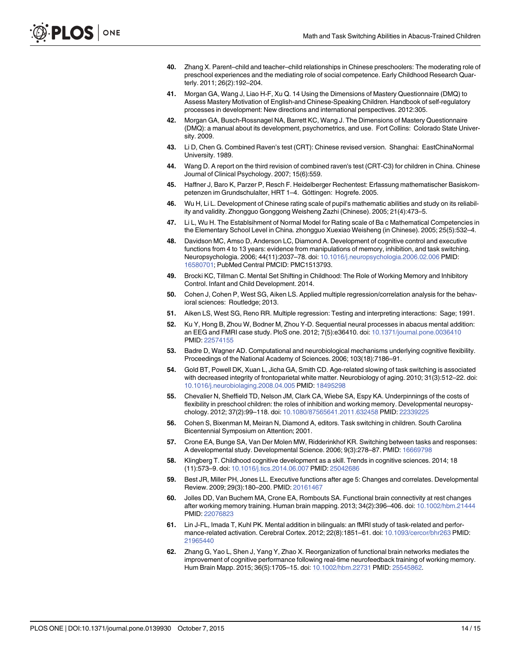- <span id="page-13-0"></span>[40.](#page-2-0) Zhang X. Parent–child and teacher–child relationships in Chinese preschoolers: The moderating role of preschool experiences and the mediating role of social competence. Early Childhood Research Quarterly. 2011; 26(2):192–204.
- [41.](#page-3-0) Morgan GA, Wang J, Liao H-F, Xu Q. 14 Using the Dimensions of Mastery Questionnaire (DMQ) to Assess Mastery Motivation of English-and Chinese-Speaking Children. Handbook of self-regulatory processes in development: New directions and international perspectives. 2012:305.
- [42.](#page-3-0) Morgan GA, Busch-Rossnagel NA, Barrett KC, Wang J. The Dimensions of Mastery Questionnaire (DMQ): a manual about its development, psychometrics, and use. Fort Collins: Colorado State University. 2009.
- [43.](#page-3-0) Li D, Chen G. Combined Raven's test (CRT): Chinese revised version. Shanghai: EastChinaNormal University. 1989.
- [44.](#page-3-0) Wang D. A report on the third revision of combined raven's test (CRT-C3) for children in China. Chinese Journal of Clinical Psychology. 2007; 15(6):559.
- [45.](#page-3-0) Haffner J, Baro K, Parzer P, Resch F. Heidelberger Rechentest: Erfassung mathematischer Basiskompetenzen im Grundschulalter, HRT 1–4. Göttingen: Hogrefe. 2005.
- [46.](#page-3-0) Wu H, Li L. Development of Chinese rating scale of pupil's mathematic abilities and study on its reliability and validity. Zhongguo Gonggong Weisheng Zazhi (Chinese). 2005; 21(4):473–5.
- [47.](#page-3-0) Li L, Wu H. The Establsihment of Normal Model for Rating scale of Ba c Mathematical Competencies in the Elementary School Level in China. zhongguo Xuexiao Weisheng (in Chinese). 2005; 25(5):532–4.
- [48.](#page-3-0) Davidson MC, Amso D, Anderson LC, Diamond A. Development of cognitive control and executive functions from 4 to 13 years: evidence from manipulations of memory, inhibition, and task switching. Neuropsychologia. 2006; 44(11):2037–78. doi: [10.1016/j.neuropsychologia.2006.02.006](http://dx.doi.org/10.1016/j.neuropsychologia.2006.02.006) PMID: [16580701](http://www.ncbi.nlm.nih.gov/pubmed/16580701); PubMed Central PMCID: PMC1513793.
- [49.](#page-4-0) Brocki KC, Tillman C. Mental Set Shifting in Childhood: The Role of Working Memory and Inhibitory Control. Infant and Child Development. 2014.
- [50.](#page-7-0) Cohen J, Cohen P, West SG, Aiken LS. Applied multiple regression/correlation analysis for the behavioral sciences: Routledge; 2013.
- [51.](#page-7-0) Aiken LS, West SG, Reno RR. Multiple regression: Testing and interpreting interactions: Sage; 1991.
- [52.](#page-9-0) Ku Y, Hong B, Zhou W, Bodner M, Zhou Y-D. Sequential neural processes in abacus mental addition: an EEG and FMRI case study. PloS one. 2012; 7(5):e36410. doi: [10.1371/journal.pone.0036410](http://dx.doi.org/10.1371/journal.pone.0036410) PMID: [22574155](http://www.ncbi.nlm.nih.gov/pubmed/22574155)
- [53.](#page-9-0) Badre D, Wagner AD. Computational and neurobiological mechanisms underlying cognitive flexibility. Proceedings of the National Academy of Sciences. 2006; 103(18):7186–91.
- 54. Gold BT, Powell DK, Xuan L, Jicha GA, Smith CD. Age-related slowing of task switching is associated with decreased integrity of frontoparietal white matter. Neurobiology of aging. 2010; 31(3):512–22. doi: [10.1016/j.neurobiolaging.2008.04.005](http://dx.doi.org/10.1016/j.neurobiolaging.2008.04.005) PMID: [18495298](http://www.ncbi.nlm.nih.gov/pubmed/18495298)
- [55.](#page-9-0) Chevalier N, Sheffield TD, Nelson JM, Clark CA, Wiebe SA, Espy KA. Underpinnings of the costs of flexibility in preschool children: the roles of inhibition and working memory. Developmental neuropsychology. 2012; 37(2):99–118. doi: [10.1080/87565641.2011.632458](http://dx.doi.org/10.1080/87565641.2011.632458) PMID: [22339225](http://www.ncbi.nlm.nih.gov/pubmed/22339225)
- [56.](#page-9-0) Cohen S, Bixenman M, Meiran N, Diamond A, editors. Task switching in children. South Carolina Bicentennial Symposium on Attention; 2001.
- [57.](#page-9-0) Crone EA, Bunge SA, Van Der Molen MW, Ridderinkhof KR. Switching between tasks and responses: A developmental study. Developmental Science. 2006; 9(3):278–87. PMID: [16669798](http://www.ncbi.nlm.nih.gov/pubmed/16669798)
- [58.](#page-9-0) Klingberg T. Childhood cognitive development as a skill. Trends in cognitive sciences. 2014; 18 (11):573–9. doi: [10.1016/j.tics.2014.06.007](http://dx.doi.org/10.1016/j.tics.2014.06.007) PMID: [25042686](http://www.ncbi.nlm.nih.gov/pubmed/25042686)
- [59.](#page-9-0) Best JR, Miller PH, Jones LL. Executive functions after age 5: Changes and correlates. Developmental Review. 2009; 29(3):180–200. PMID: [20161467](http://www.ncbi.nlm.nih.gov/pubmed/20161467)
- [60.](#page-10-0) Jolles DD, Van Buchem MA, Crone EA, Rombouts SA. Functional brain connectivity at rest changes after working memory training. Human brain mapping. 2013; 34(2):396–406. doi: [10.1002/hbm.21444](http://dx.doi.org/10.1002/hbm.21444) PMID: [22076823](http://www.ncbi.nlm.nih.gov/pubmed/22076823)
- [61.](#page-10-0) Lin J-FL, Imada T, Kuhl PK. Mental addition in bilinguals: an fMRI study of task-related and performance-related activation. Cerebral Cortex. 2012; 22(8):1851–61. doi: [10.1093/cercor/bhr263](http://dx.doi.org/10.1093/cercor/bhr263) PMID: [21965440](http://www.ncbi.nlm.nih.gov/pubmed/21965440)
- [62.](#page-10-0) Zhang G, Yao L, Shen J, Yang Y, Zhao X. Reorganization of functional brain networks mediates the improvement of cognitive performance following real-time neurofeedback training of working memory. Hum Brain Mapp. 2015; 36(5):1705–15. doi: [10.1002/hbm.22731](http://dx.doi.org/10.1002/hbm.22731) PMID: [25545862.](http://www.ncbi.nlm.nih.gov/pubmed/25545862)